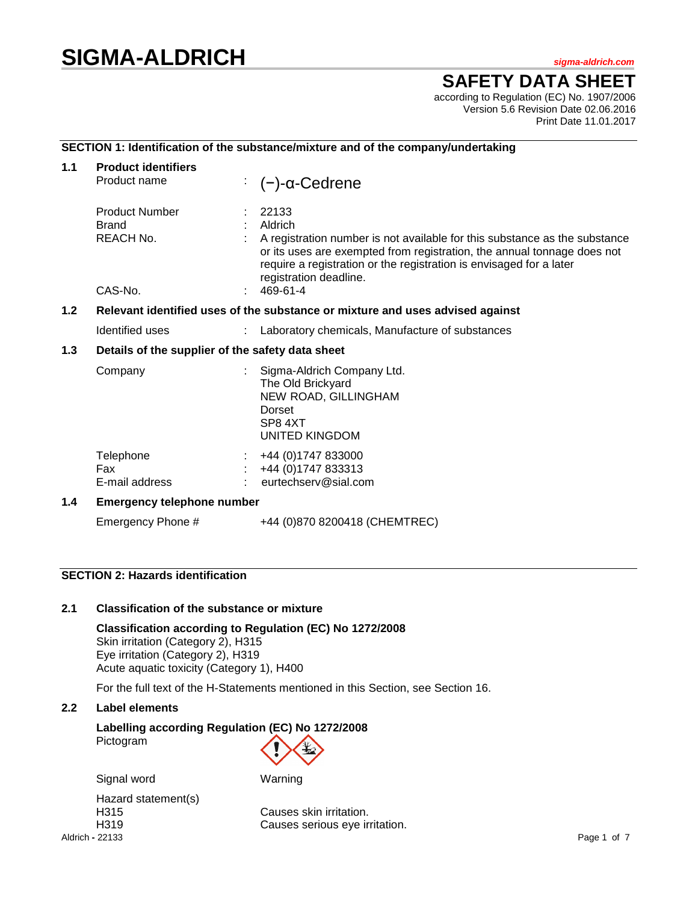# **SIGMA-ALDRICH** *sigma-aldrich.com*

# **SAFETY DATA SHEET**

according to Regulation (EC) No. 1907/2006 Version 5.6 Revision Date 02.06.2016 Print Date 11.01.2017

# **SECTION 1: Identification of the substance/mixture and of the company/undertaking**

| 1.1 | <b>Product identifiers</b><br>Product name                                    | : $(-)$ -α-Cedrene                                                                                                                                                                                                                                                                     |  |  |
|-----|-------------------------------------------------------------------------------|----------------------------------------------------------------------------------------------------------------------------------------------------------------------------------------------------------------------------------------------------------------------------------------|--|--|
|     | <b>Product Number</b><br><b>Brand</b><br>REACH No.<br>CAS-No.                 | 22133<br>Aldrich<br>A registration number is not available for this substance as the substance<br>or its uses are exempted from registration, the annual tonnage does not<br>require a registration or the registration is envisaged for a later<br>registration deadline.<br>469-61-4 |  |  |
| 1.2 | Relevant identified uses of the substance or mixture and uses advised against |                                                                                                                                                                                                                                                                                        |  |  |
|     | Identified uses                                                               | Laboratory chemicals, Manufacture of substances                                                                                                                                                                                                                                        |  |  |
| 1.3 | Details of the supplier of the safety data sheet                              |                                                                                                                                                                                                                                                                                        |  |  |
|     | Company                                                                       | Sigma-Aldrich Company Ltd.<br>The Old Brickyard<br>NEW ROAD, GILLINGHAM<br>Dorset<br>SP8 4XT<br><b>UNITED KINGDOM</b>                                                                                                                                                                  |  |  |
|     | Telephone<br>Fax<br>E-mail address                                            | +44 (0) 1747 833000<br>+44 (0) 1747 833313<br>eurtechserv@sial.com                                                                                                                                                                                                                     |  |  |
| 1.4 | <b>Emergency telephone number</b>                                             |                                                                                                                                                                                                                                                                                        |  |  |
|     | Emergency Phone #                                                             | +44 (0)870 8200418 (CHEMTREC)                                                                                                                                                                                                                                                          |  |  |

# **SECTION 2: Hazards identification**

# **2.1 Classification of the substance or mixture**

**Classification according to Regulation (EC) No 1272/2008** Skin irritation (Category 2), H315 Eye irritation (Category 2), H319 Acute aquatic toxicity (Category 1), H400

For the full text of the H-Statements mentioned in this Section, see Section 16.

#### **2.2 Label elements**

# **Labelling according Regulation (EC) No 1272/2008** Pictogram

Signal word Warning

Aldrich **-** 22133 Page 1 of 7 Hazard statement(s)

H315 Causes skin irritation. H319 Causes serious eye irritation.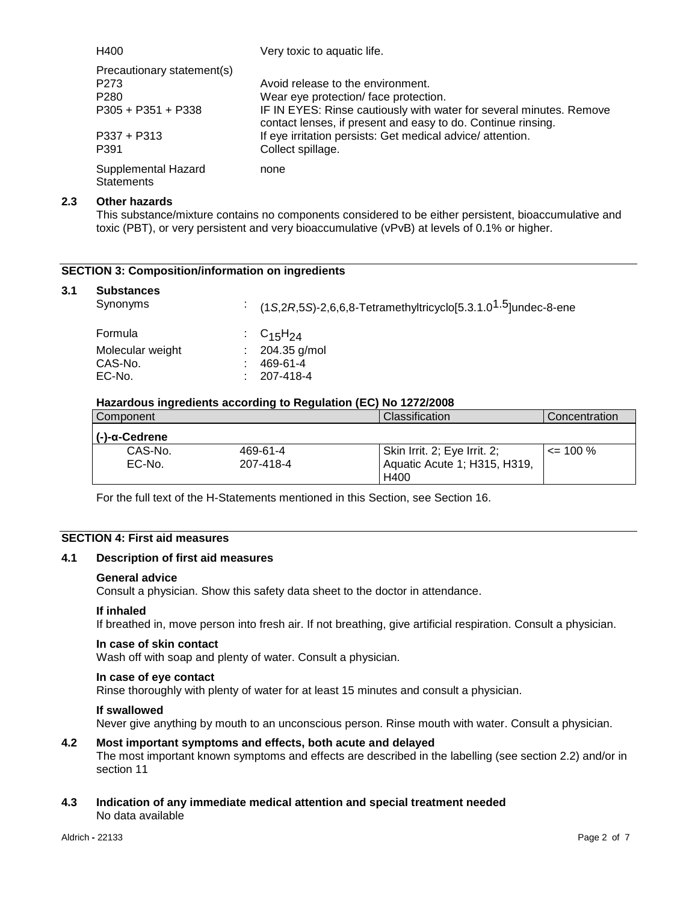| H400                                                               | Very toxic to aquatic life.                                                                                                         |
|--------------------------------------------------------------------|-------------------------------------------------------------------------------------------------------------------------------------|
| Precautionary statement(s)<br>P <sub>273</sub><br>P <sub>280</sub> | Avoid release to the environment.<br>Wear eye protection/face protection.                                                           |
| $P305 + P351 + P338$                                               | IF IN EYES: Rinse cautiously with water for several minutes. Remove<br>contact lenses, if present and easy to do. Continue rinsing. |
| $P337 + P313$<br>P391                                              | If eye irritation persists: Get medical advice/attention.<br>Collect spillage.                                                      |
| Supplemental Hazard<br><b>Statements</b>                           | none                                                                                                                                |

#### **2.3 Other hazards**

This substance/mixture contains no components considered to be either persistent, bioaccumulative and toxic (PBT), or very persistent and very bioaccumulative (vPvB) at levels of 0.1% or higher.

# **SECTION 3: Composition/information on ingredients**

#### **3.1 Substances**

| Synonyms         | : $(1S, 2R, 5S)$ -2,6,6,8-Tetramethyltricyclo[5.3.1.0 <sup>1.5</sup> ]undec-8-ene |
|------------------|-----------------------------------------------------------------------------------|
| Formula          | : $C_{15}H_{24}$                                                                  |
| Molecular weight | $: 204.35$ g/mol                                                                  |
| CAS-No.          | 469-61-4                                                                          |
| EC-No.           | 207-418-4                                                                         |

#### **Hazardous ingredients according to Regulation (EC) No 1272/2008**

| Component             |           | Classification               | Concentration |
|-----------------------|-----------|------------------------------|---------------|
| $(-)-\alpha$ -Cedrene |           |                              |               |
| CAS-No.               | 469-61-4  | Skin Irrit. 2; Eye Irrit. 2; | $\leq$ 100 %  |
| EC-No.                | 207-418-4 | Aquatic Acute 1; H315, H319, |               |
|                       |           | H400                         |               |

For the full text of the H-Statements mentioned in this Section, see Section 16.

# **SECTION 4: First aid measures**

#### **4.1 Description of first aid measures**

#### **General advice**

Consult a physician. Show this safety data sheet to the doctor in attendance.

#### **If inhaled**

If breathed in, move person into fresh air. If not breathing, give artificial respiration. Consult a physician.

#### **In case of skin contact**

Wash off with soap and plenty of water. Consult a physician.

#### **In case of eye contact**

Rinse thoroughly with plenty of water for at least 15 minutes and consult a physician.

#### **If swallowed**

Never give anything by mouth to an unconscious person. Rinse mouth with water. Consult a physician.

#### **4.2 Most important symptoms and effects, both acute and delayed**

The most important known symptoms and effects are described in the labelling (see section 2.2) and/or in section 11

# **4.3 Indication of any immediate medical attention and special treatment needed** No data available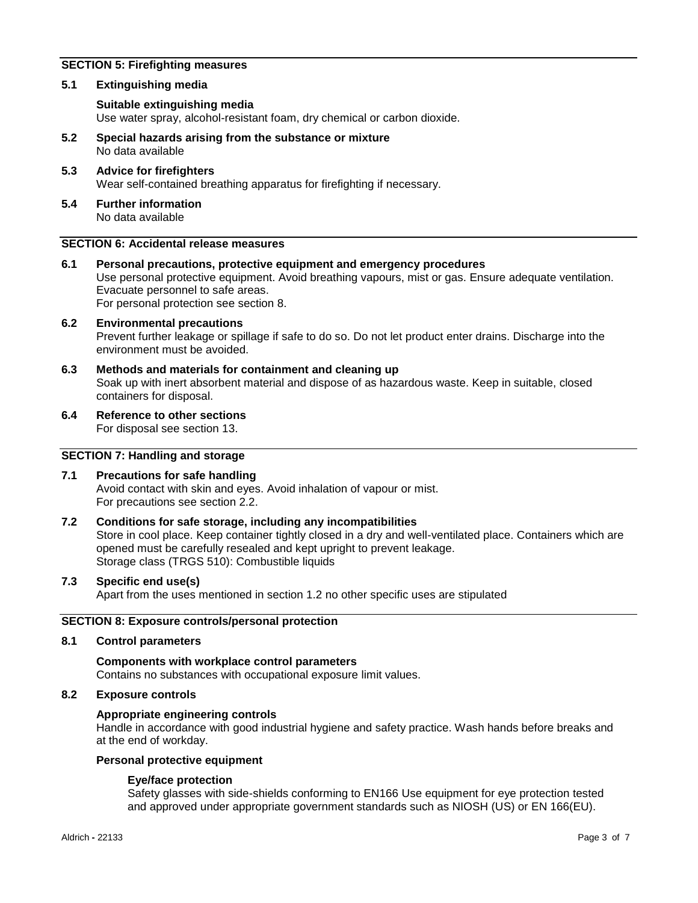# **SECTION 5: Firefighting measures**

#### **5.1 Extinguishing media**

#### **Suitable extinguishing media**

Use water spray, alcohol-resistant foam, dry chemical or carbon dioxide.

- **5.2 Special hazards arising from the substance or mixture** No data available
- **5.3 Advice for firefighters** Wear self-contained breathing apparatus for firefighting if necessary.
- **5.4 Further information** No data available

# **SECTION 6: Accidental release measures**

- **6.1 Personal precautions, protective equipment and emergency procedures** Use personal protective equipment. Avoid breathing vapours, mist or gas. Ensure adequate ventilation. Evacuate personnel to safe areas. For personal protection see section 8.
- **6.2 Environmental precautions** Prevent further leakage or spillage if safe to do so. Do not let product enter drains. Discharge into the environment must be avoided.
- **6.3 Methods and materials for containment and cleaning up** Soak up with inert absorbent material and dispose of as hazardous waste. Keep in suitable, closed containers for disposal.
- **6.4 Reference to other sections**

For disposal see section 13.

# **SECTION 7: Handling and storage**

# **7.1 Precautions for safe handling**

Avoid contact with skin and eyes. Avoid inhalation of vapour or mist. For precautions see section 2.2.

# **7.2 Conditions for safe storage, including any incompatibilities**

Store in cool place. Keep container tightly closed in a dry and well-ventilated place. Containers which are opened must be carefully resealed and kept upright to prevent leakage. Storage class (TRGS 510): Combustible liquids

**7.3 Specific end use(s)**

Apart from the uses mentioned in section 1.2 no other specific uses are stipulated

# **SECTION 8: Exposure controls/personal protection**

#### **8.1 Control parameters**

# **Components with workplace control parameters** Contains no substances with occupational exposure limit values.

# **8.2 Exposure controls**

#### **Appropriate engineering controls**

Handle in accordance with good industrial hygiene and safety practice. Wash hands before breaks and at the end of workday.

#### **Personal protective equipment**

#### **Eye/face protection**

Safety glasses with side-shields conforming to EN166 Use equipment for eye protection tested and approved under appropriate government standards such as NIOSH (US) or EN 166(EU).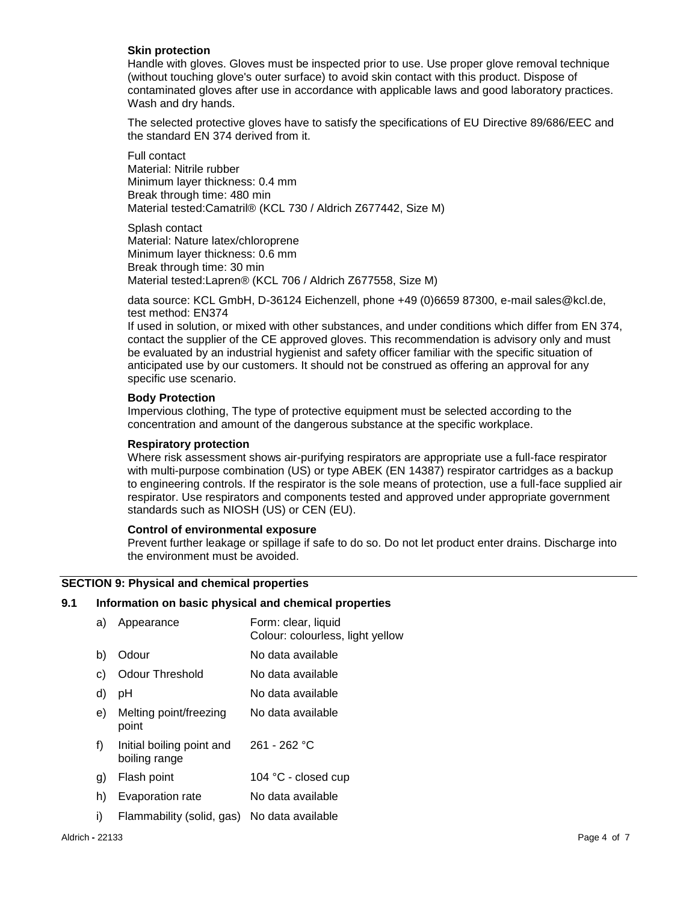#### **Skin protection**

Handle with gloves. Gloves must be inspected prior to use. Use proper glove removal technique (without touching glove's outer surface) to avoid skin contact with this product. Dispose of contaminated gloves after use in accordance with applicable laws and good laboratory practices. Wash and dry hands.

The selected protective gloves have to satisfy the specifications of EU Directive 89/686/EEC and the standard EN 374 derived from it.

Full contact Material: Nitrile rubber Minimum layer thickness: 0.4 mm Break through time: 480 min Material tested:Camatril® (KCL 730 / Aldrich Z677442, Size M)

Splash contact Material: Nature latex/chloroprene Minimum layer thickness: 0.6 mm Break through time: 30 min Material tested:Lapren® (KCL 706 / Aldrich Z677558, Size M)

data source: KCL GmbH, D-36124 Eichenzell, phone +49 (0)6659 87300, e-mail sales@kcl.de, test method: EN374

If used in solution, or mixed with other substances, and under conditions which differ from EN 374, contact the supplier of the CE approved gloves. This recommendation is advisory only and must be evaluated by an industrial hygienist and safety officer familiar with the specific situation of anticipated use by our customers. It should not be construed as offering an approval for any specific use scenario.

#### **Body Protection**

Impervious clothing, The type of protective equipment must be selected according to the concentration and amount of the dangerous substance at the specific workplace.

#### **Respiratory protection**

Where risk assessment shows air-purifying respirators are appropriate use a full-face respirator with multi-purpose combination (US) or type ABEK (EN 14387) respirator cartridges as a backup to engineering controls. If the respirator is the sole means of protection, use a full-face supplied air respirator. Use respirators and components tested and approved under appropriate government standards such as NIOSH (US) or CEN (EU).

#### **Control of environmental exposure**

Prevent further leakage or spillage if safe to do so. Do not let product enter drains. Discharge into the environment must be avoided.

#### **SECTION 9: Physical and chemical properties**

#### **9.1 Information on basic physical and chemical properties**

| a) | Appearance                                  | Form: clear, liquid<br>Colour: colourless, light yellow |
|----|---------------------------------------------|---------------------------------------------------------|
| b) | Odour                                       | No data available                                       |
| C) | <b>Odour Threshold</b>                      | No data available                                       |
| d) | рH                                          | No data available                                       |
| e) | Melting point/freezing<br>point             | No data available                                       |
| f) | Initial boiling point and<br>boiling range  | $261 - 262 °C$                                          |
| g) | Flash point                                 | 104 °C - closed cup                                     |
| h) | Evaporation rate                            | No data available                                       |
| i) | Flammability (solid, gas) No data available |                                                         |
|    |                                             |                                                         |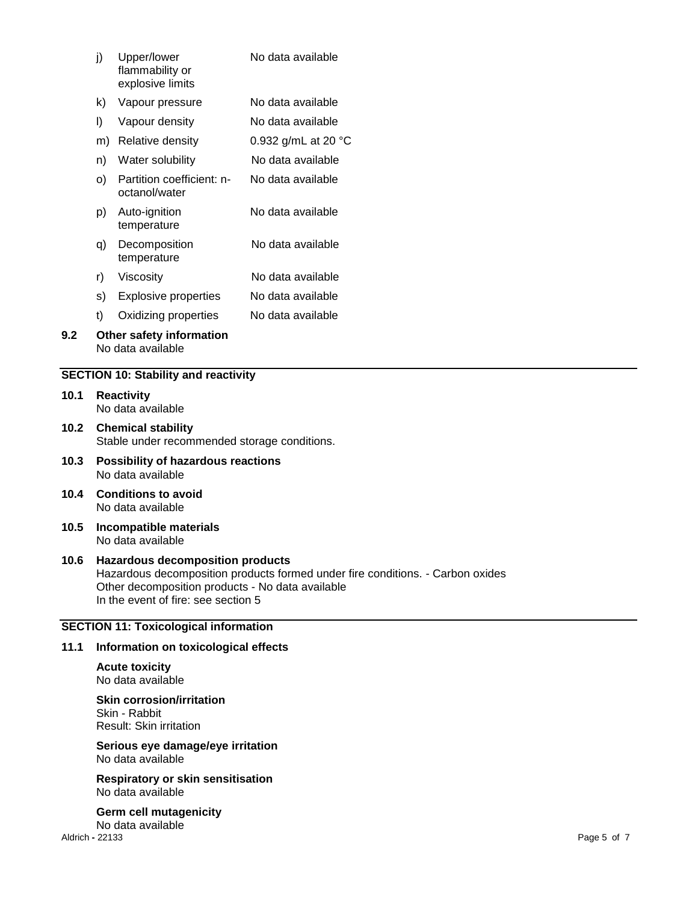|      | j)                                                                                                                                                                                                                   | Upper/lower<br>flammability or<br>explosive limits                                  | No data available   |
|------|----------------------------------------------------------------------------------------------------------------------------------------------------------------------------------------------------------------------|-------------------------------------------------------------------------------------|---------------------|
|      | k)                                                                                                                                                                                                                   | Vapour pressure                                                                     | No data available   |
|      | $\vert$                                                                                                                                                                                                              | Vapour density                                                                      | No data available   |
|      |                                                                                                                                                                                                                      | m) Relative density                                                                 | 0.932 g/mL at 20 °C |
|      | n)                                                                                                                                                                                                                   | Water solubility                                                                    | No data available   |
|      | O)                                                                                                                                                                                                                   | Partition coefficient: n-<br>octanol/water                                          | No data available   |
|      | p)                                                                                                                                                                                                                   | Auto-ignition<br>temperature                                                        | No data available   |
|      | q)                                                                                                                                                                                                                   | Decomposition<br>temperature                                                        | No data available   |
|      | r)                                                                                                                                                                                                                   | Viscosity                                                                           | No data available   |
|      | s)                                                                                                                                                                                                                   | <b>Explosive properties</b>                                                         | No data available   |
|      | t)                                                                                                                                                                                                                   | Oxidizing properties                                                                | No data available   |
| 9.2  | Other safety information<br>No data available                                                                                                                                                                        |                                                                                     |                     |
|      |                                                                                                                                                                                                                      | <b>SECTION 10: Stability and reactivity</b>                                         |                     |
| 10.1 | <b>Reactivity</b><br>No data available                                                                                                                                                                               |                                                                                     |                     |
| 10.2 | <b>Chemical stability</b><br>Stable under recommended storage conditions.                                                                                                                                            |                                                                                     |                     |
| 10.3 | <b>Possibility of hazardous reactions</b><br>No data available                                                                                                                                                       |                                                                                     |                     |
| 10.4 | <b>Conditions to avoid</b><br>No data available                                                                                                                                                                      |                                                                                     |                     |
| 10.5 | Incompatible materials<br>No data available                                                                                                                                                                          |                                                                                     |                     |
| 10.6 | <b>Hazardous decomposition products</b><br>Hazardous decomposition products formed under fire conditions. - Carbon oxides<br>Other decomposition products - No data available<br>In the event of fire: see section 5 |                                                                                     |                     |
|      |                                                                                                                                                                                                                      | <b>SECTION 11: Toxicological information</b>                                        |                     |
| 11.1 | Information on toxicological effects                                                                                                                                                                                 |                                                                                     |                     |
|      | <b>Acute toxicity</b><br>No data available                                                                                                                                                                           |                                                                                     |                     |
|      |                                                                                                                                                                                                                      | <b>Skin corrosion/irritation</b><br>Skin - Rabbit<br><b>Result: Skin irritation</b> |                     |
|      |                                                                                                                                                                                                                      | Serious eye damage/eye irritation<br>No data available                              |                     |
|      |                                                                                                                                                                                                                      | <b>Respiratory or skin sensitisation</b>                                            |                     |

No data available

Aldrich **-** 22133 Page 5 of 7 **Germ cell mutagenicity** No data available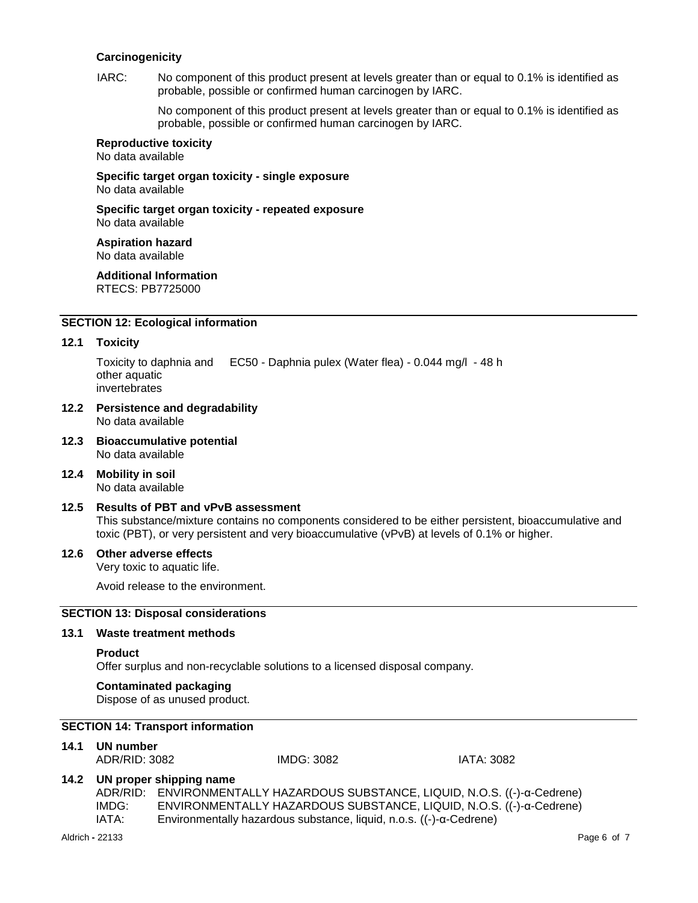#### **Carcinogenicity**

IARC: No component of this product present at levels greater than or equal to 0.1% is identified as probable, possible or confirmed human carcinogen by IARC.

> No component of this product present at levels greater than or equal to 0.1% is identified as probable, possible or confirmed human carcinogen by IARC.

#### **Reproductive toxicity**

No data available

**Specific target organ toxicity - single exposure** No data available

**Specific target organ toxicity - repeated exposure** No data available

**Aspiration hazard** No data available

**Additional Information** RTECS: PB7725000

# **SECTION 12: Ecological information**

#### **12.1 Toxicity**

Toxicity to daphnia and other aquatic invertebrates EC50 - Daphnia pulex (Water flea) - 0.044 mg/l - 48 h

- **12.2 Persistence and degradability** No data available
- **12.3 Bioaccumulative potential** No data available
- **12.4 Mobility in soil** No data available

# **12.5 Results of PBT and vPvB assessment**

This substance/mixture contains no components considered to be either persistent, bioaccumulative and toxic (PBT), or very persistent and very bioaccumulative (vPvB) at levels of 0.1% or higher.

#### **12.6 Other adverse effects**

Very toxic to aquatic life.

Avoid release to the environment.

# **SECTION 13: Disposal considerations**

#### **13.1 Waste treatment methods**

#### **Product**

Offer surplus and non-recyclable solutions to a licensed disposal company.

#### **Contaminated packaging**

Dispose of as unused product.

# **SECTION 14: Transport information**

**14.1 UN number**

ADR/RID: 3082 IMDG: 3082 IATA: 3082

# **14.2 UN proper shipping name**

ADR/RID: ENVIRONMENTALLY HAZARDOUS SUBSTANCE, LIQUID, N.O.S. ((-)-α-Cedrene) IMDG: ENVIRONMENTALLY HAZARDOUS SUBSTANCE, LIQUID, N.O.S. ((-)-α-Cedrene) IATA: Environmentally hazardous substance, liquid, n.o.s. ((-)-α-Cedrene)